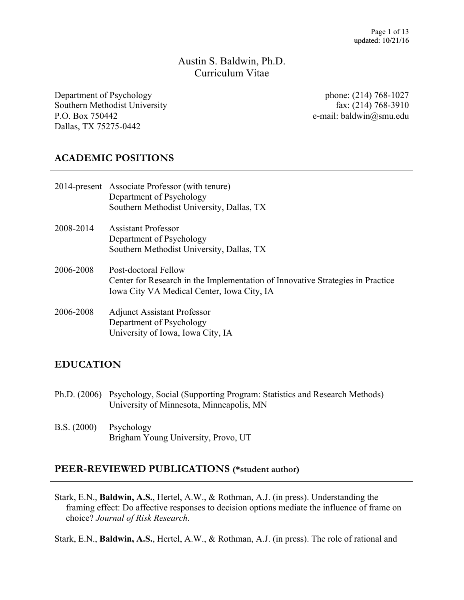Austin S. Baldwin, Ph.D. Curriculum Vitae

Department of Psychology Southern Methodist University P.O. Box 750442 Dallas, TX 75275-0442

phone: (214) 768-1027 fax: (214) 768-3910 e-mail: baldwin@smu.edu

# **ACADEMIC POSITIONS**

|           | 2014-present Associate Professor (with tenure)<br>Department of Psychology<br>Southern Methodist University, Dallas, TX                              |
|-----------|------------------------------------------------------------------------------------------------------------------------------------------------------|
| 2008-2014 | <b>Assistant Professor</b><br>Department of Psychology<br>Southern Methodist University, Dallas, TX                                                  |
| 2006-2008 | Post-doctoral Fellow<br>Center for Research in the Implementation of Innovative Strategies in Practice<br>Iowa City VA Medical Center, Iowa City, IA |
| 2006-2008 | <b>Adjunct Assistant Professor</b><br>Department of Psychology<br>University of Iowa, Iowa City, IA                                                  |

## **EDUCATION**

- Ph.D. (2006) Psychology, Social (Supporting Program: Statistics and Research Methods) University of Minnesota, Minneapolis, MN
- B.S. (2000) Psychology Brigham Young University, Provo, UT

#### **PEER-REVIEWED PUBLICATIONS (\*student author)**

Stark, E.N., **Baldwin, A.S.**, Hertel, A.W., & Rothman, A.J. (in press). Understanding the framing effect: Do affective responses to decision options mediate the influence of frame on choice? *Journal of Risk Research*.

Stark, E.N., **Baldwin, A.S.**, Hertel, A.W., & Rothman, A.J. (in press). The role of rational and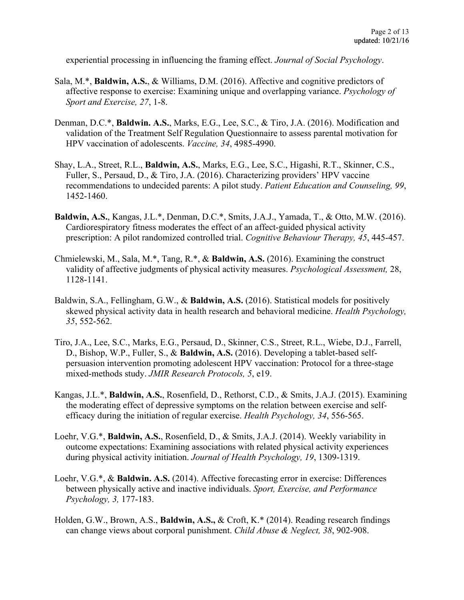experiential processing in influencing the framing effect. *Journal of Social Psychology*.

- Sala, M.\*, **Baldwin, A.S.**, & Williams, D.M. (2016). Affective and cognitive predictors of affective response to exercise: Examining unique and overlapping variance. *Psychology of Sport and Exercise, 27*, 1-8.
- Denman, D.C.\*, **Baldwin. A.S.**, Marks, E.G., Lee, S.C., & Tiro, J.A. (2016). Modification and validation of the Treatment Self Regulation Questionnaire to assess parental motivation for HPV vaccination of adolescents. *Vaccine, 34*, 4985-4990.
- Shay, L.A., Street, R.L., **Baldwin, A.S.**, Marks, E.G., Lee, S.C., Higashi, R.T., Skinner, C.S., Fuller, S., Persaud, D., & Tiro, J.A. (2016). Characterizing providers' HPV vaccine recommendations to undecided parents: A pilot study. *Patient Education and Counseling, 99*, 1452-1460.
- **Baldwin, A.S.**, Kangas, J.L.\*, Denman, D.C.\*, Smits, J.A.J., Yamada, T., & Otto, M.W. (2016). Cardiorespiratory fitness moderates the effect of an affect-guided physical activity prescription: A pilot randomized controlled trial. *Cognitive Behaviour Therapy, 45*, 445-457.
- Chmielewski, M., Sala, M.\*, Tang, R.\*, & **Baldwin, A.S.** (2016). Examining the construct validity of affective judgments of physical activity measures. *Psychological Assessment,* 28, 1128-1141.
- Baldwin, S.A., Fellingham, G.W., & **Baldwin, A.S.** (2016). Statistical models for positively skewed physical activity data in health research and behavioral medicine. *Health Psychology, 35*, 552-562.
- Tiro, J.A., Lee, S.C., Marks, E.G., Persaud, D., Skinner, C.S., Street, R.L., Wiebe, D.J., Farrell, D., Bishop, W.P., Fuller, S., & **Baldwin, A.S.** (2016). Developing a tablet-based self persuasion intervention promoting adolescent HPV vaccination: Protocol for a three-stage mixed-methods study. *JMIR Research Protocols, 5*, e19.
- Kangas, J.L.\*, **Baldwin, A.S.**, Rosenfield, D., Rethorst, C.D., & Smits, J.A.J. (2015). Examining the moderating effect of depressive symptoms on the relation between exercise and self efficacy during the initiation of regular exercise. *Health Psychology, 34*, 556-565.
- Loehr, V.G.\*, **Baldwin, A.S.**, Rosenfield, D., & Smits, J.A.J. (2014). Weekly variability in outcome expectations: Examining associations with related physical activity experiences during physical activity initiation. *Journal of Health Psychology, 19*, 1309-1319.
- Loehr, V.G.\*, & **Baldwin. A.S.** (2014). Affective forecasting error in exercise: Differences between physically active and inactive individuals. *Sport, Exercise, and Performance Psychology, 3,* 177-183.
- Holden, G.W., Brown, A.S., **Baldwin, A.S.,** & Croft, K.\* (2014). Reading research findings can change views about corporal punishment. *Child Abuse & Neglect, 38*, 902-908.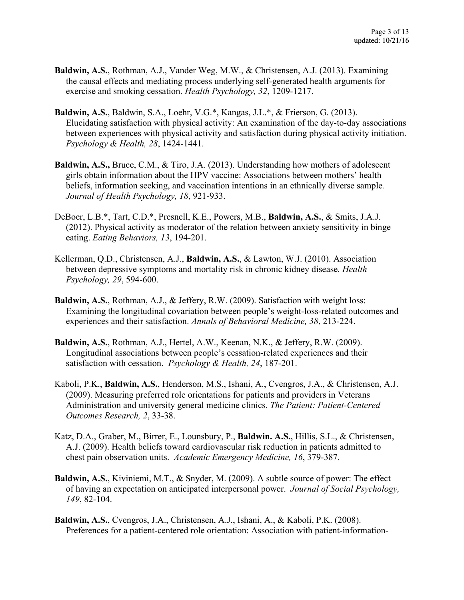- **Baldwin, A.S.**, Rothman, A.J., Vander Weg, M.W., & Christensen, A.J. (2013). Examining the causal effects and mediating process underlying self-generated health arguments for exercise and smoking cessation. *Health Psychology, 32*, 1209-1217.
- **Baldwin, A.S.**, Baldwin, S.A., Loehr, V.G.\*, Kangas, J.L.\*, & Frierson, G. (2013). Elucidating satisfaction with physical activity: An examination of the day-to-day associations between experiences with physical activity and satisfaction during physical activity initiation. *Psychology & Health, 28*, 1424-1441.
- **Baldwin, A.S.,** Bruce, C.M., & Tiro, J.A. (2013). Understanding how mothers of adolescent girls obtain information about the HPV vaccine: Associations between mothers' health beliefs, information seeking, and vaccination intentions in an ethnically diverse sample*. Journal of Health Psychology, 18*, 921-933.
- DeBoer, L.B.\*, Tart, C.D.\*, Presnell, K.E., Powers, M.B., **Baldwin, A.S.**, & Smits, J.A.J. (2012). Physical activity as moderator of the relation between anxiety sensitivity in binge eating. *Eating Behaviors, 13*, 194-201.
- Kellerman, Q.D., Christensen, A.J., **Baldwin, A.S.**, & Lawton, W.J. (2010). Association between depressive symptoms and mortality risk in chronic kidney disease*. Health Psychology, 29*, 594-600.
- **Baldwin, A.S.**, Rothman, A.J., & Jeffery, R.W. (2009). Satisfaction with weight loss: Examining the longitudinal covariation between people's weight-loss-related outcomes and experiences and their satisfaction. *Annals of Behavioral Medicine, 38*, 213-224.
- **Baldwin, A.S.**, Rothman, A.J., Hertel, A.W., Keenan, N.K., & Jeffery, R.W. (2009). Longitudinal associations between people's cessation-related experiences and their satisfaction with cessation. *Psychology & Health, 24*, 187-201.
- Kaboli, P.K., **Baldwin, A.S.**, Henderson, M.S., Ishani, A., Cvengros, J.A., & Christensen, A.J. (2009). Measuring preferred role orientations for patients and providers in Veterans Administration and university general medicine clinics. *The Patient: Patient-Centered Outcomes Research, 2*, 33-38.
- Katz, D.A., Graber, M., Birrer, E., Lounsbury, P., **Baldwin. A.S.**, Hillis, S.L., & Christensen, A.J. (2009). Health beliefs toward cardiovascular risk reduction in patients admitted to chest pain observation units. *Academic Emergency Medicine, 16*, 379-387.
- **Baldwin, A.S.**, Kiviniemi, M.T., & Snyder, M. (2009). A subtle source of power: The effect of having an expectation on anticipated interpersonal power. *Journal of Social Psychology, 149*, 82-104.
- **Baldwin, A.S.**, Cvengros, J.A., Christensen, A.J., Ishani, A., & Kaboli, P.K. (2008). Preferences for a patient-centered role orientation: Association with patient-information-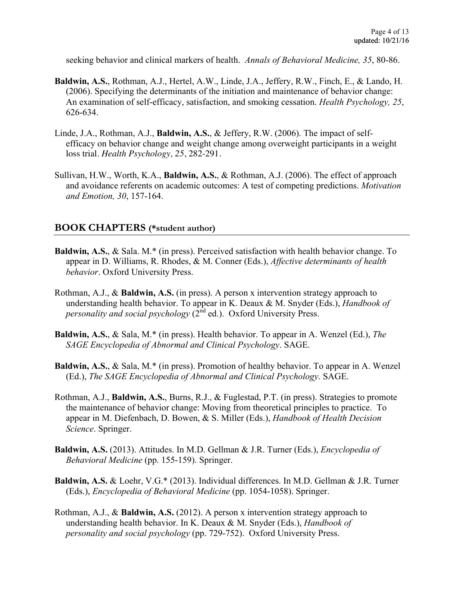seeking behavior and clinical markers of health. *Annals of Behavioral Medicine, 35*, 80-86.

- **Baldwin, A.S.**, Rothman, A.J., Hertel, A.W., Linde, J.A., Jeffery, R.W., Finch, E., & Lando, H. (2006). Specifying the determinants of the initiation and maintenance of behavior change: An examination of self-efficacy, satisfaction, and smoking cessation. *Health Psychology, 25*, 626-634.
- Linde, J.A., Rothman, A.J., **Baldwin, A.S.**, & Jeffery, R.W. (2006). The impact of self efficacy on behavior change and weight change among overweight participants in a weight loss trial. *Health Psychology, 25*, 282-291.
- Sullivan, H.W., Worth, K.A., **Baldwin, A.S.**, & Rothman, A.J. (2006). The effect of approach and avoidance referents on academic outcomes: A test of competing predictions. *Motivation and Emotion, 30*, 157-164.

#### **BOOK CHAPTERS (\*student author)**

- **Baldwin, A.S.**, & Sala. M.\* (in press). Perceived satisfaction with health behavior change. To appear in D. Williams, R. Rhodes, & M. Conner (Eds.), *Affective determinants of health behavior*. Oxford University Press.
- Rothman, A.J., & **Baldwin, A.S.** (in press). A person x intervention strategy approach to understanding health behavior. To appear in K. Deaux & M. Snyder (Eds.), *Handbook of personality and social psychology*  $(2^{nd}$  ed.). Oxford University Press.
- **Baldwin, A.S.**, & Sala, M.\* (in press). Health behavior. To appear in A. Wenzel (Ed.), *The SAGE Encyclopedia of Abnormal and Clinical Psychology*. SAGE.
- **Baldwin, A.S.**, & Sala, M.\* (in press). Promotion of healthy behavior. To appear in A. Wenzel (Ed.), *The SAGE Encyclopedia of Abnormal and Clinical Psychology*. SAGE.
- Rothman, A.J., **Baldwin, A.S.**, Burns, R.J., & Fuglestad, P.T. (in press). Strategies to promote the maintenance of behavior change: Moving from theoretical principles to practice. To appear in M. Diefenbach, D. Bowen, & S. Miller (Eds.), *Handbook of Health Decision Science*. Springer.
- **Baldwin, A.S.** (2013). Attitudes. In M.D. Gellman & J.R. Turner (Eds.), *Encyclopedia of Behavioral Medicine* (pp. 155-159). Springer.
- **Baldwin, A.S.** & Loehr, V.G.\* (2013). Individual differences. In M.D. Gellman & J.R. Turner (Eds.), *Encyclopedia of Behavioral Medicine* (pp. 1054-1058). Springer.
- Rothman, A.J., & **Baldwin, A.S.** (2012). A person x intervention strategy approach to understanding health behavior. In K. Deaux & M. Snyder (Eds.), *Handbook of personality and social psychology* (pp. 729-752). Oxford University Press.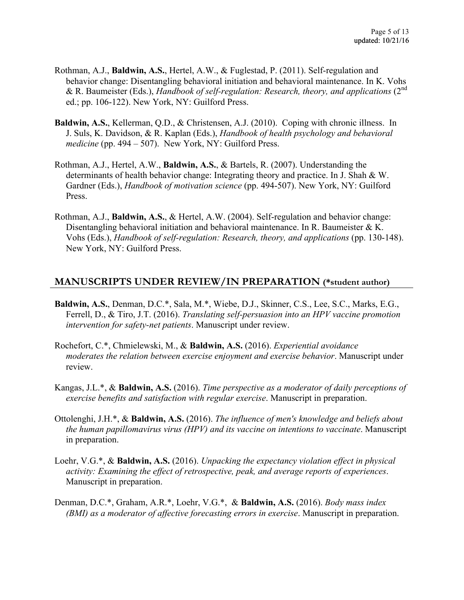- Rothman, A.J., **Baldwin, A.S.**, Hertel, A.W., & Fuglestad, P. (2011). Self-regulation and behavior change: Disentangling behavioral initiation and behavioral maintenance. In K. Vohs & R. Baumeister (Eds.), *Handbook of self-regulation: Research, theory, and applications* (2<sup>nd</sup>) ed.; pp. 106-122). New York, NY: Guilford Press.
- **Baldwin, A.S.**, Kellerman, Q.D., & Christensen, A.J. (2010). Coping with chronic illness. In J. Suls, K. Davidson, & R. Kaplan (Eds.), *Handbook of health psychology and behavioral medicine* (pp. 494 – 507). New York, NY: Guilford Press.
- Rothman, A.J., Hertel, A.W., **Baldwin, A.S.**, & Bartels, R. (2007). Understanding the determinants of health behavior change: Integrating theory and practice. In J. Shah & W. Gardner (Eds.), *Handbook of motivation science* (pp. 494-507). New York, NY: Guilford Press.
- Rothman, A.J., **Baldwin, A.S.**, & Hertel, A.W. (2004). Self-regulation and behavior change: Disentangling behavioral initiation and behavioral maintenance. In R. Baumeister  $\& K$ . Vohs (Eds.), *Handbook of self-regulation: Research, theory, and applications* (pp. 130-148). New York, NY: Guilford Press.

### **MANUSCRIPTS UNDER REVIEW/IN PREPARATION (\*student author)**

- **Baldwin, A.S.**, Denman, D.C.\*, Sala, M.\*, Wiebe, D.J., Skinner, C.S., Lee, S.C., Marks, E.G., Ferrell, D., & Tiro, J.T. (2016). *Translating self-persuasion into an HPV vaccine promotion intervention for safety-net patients*. Manuscript under review.
- Rochefort, C.\*, Chmielewski, M., & **Baldwin, A.S.** (2016). *Experiential avoidance moderates the relation between exercise enjoyment and exercise behavior*. Manuscript under review.
- Kangas, J.L.\*, & **Baldwin, A.S.** (2016). *Time perspective as a moderator of daily perceptions of exercise benefits and satisfaction with regular exercise*. Manuscript in preparation.
- Ottolenghi, J.H.\*, & **Baldwin, A.S.** (2016). *The influence of men's knowledge and beliefs about the human papillomavirus virus (HPV) and its vaccine on intentions to vaccinate*. Manuscript in preparation.
- Loehr, V.G.\*, & **Baldwin, A.S.** (2016). *Unpacking the expectancy violation effect in physical activity: Examining the effect of retrospective, peak, and average reports of experiences*. Manuscript in preparation.
- Denman, D.C.\*, Graham, A.R.\*, Loehr, V.G.\*, & **Baldwin, A.S.** (2016). *Body mass index (BMI) as a moderator of affective forecasting errors in exercise*. Manuscript in preparation.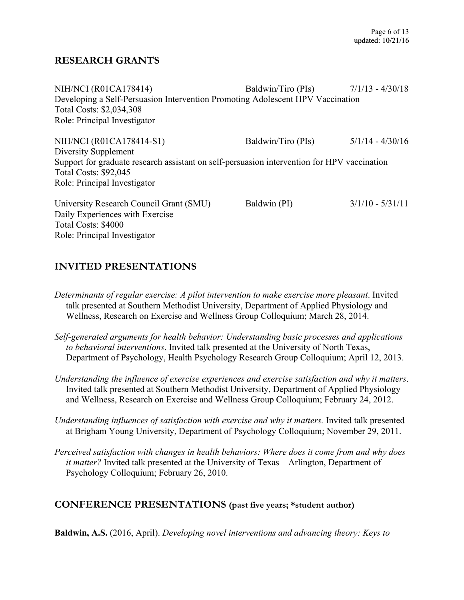### **RESEARCH GRANTS**

| NIH/NCI (R01CA178414)                                                                       | Baldwin/Tiro (PIs) $7/1/13 - 4/30/18$ |                    |
|---------------------------------------------------------------------------------------------|---------------------------------------|--------------------|
| Developing a Self-Persuasion Intervention Promoting Adolescent HPV Vaccination              |                                       |                    |
| Total Costs: \$2,034,308                                                                    |                                       |                    |
| Role: Principal Investigator                                                                |                                       |                    |
| NIH/NCI (R01CA178414-S1)                                                                    | Baldwin/Tiro (PIs)                    | $5/1/14 - 4/30/16$ |
| Diversity Supplement                                                                        |                                       |                    |
| Support for graduate research assistant on self-persuasion intervention for HPV vaccination |                                       |                    |
| <b>Total Costs: \$92,045</b>                                                                |                                       |                    |
| Role: Principal Investigator                                                                |                                       |                    |
| University Research Council Grant (SMU)                                                     | Baldwin (PI)                          | $3/1/10 - 5/31/11$ |
| Daily Experiences with Exercise                                                             |                                       |                    |
| Total Costs: \$4000                                                                         |                                       |                    |
| Role: Principal Investigator                                                                |                                       |                    |
|                                                                                             |                                       |                    |

## **INVITED PRESENTATIONS**

*Determinants of regular exercise: A pilot intervention to make exercise more pleasant*. Invited talk presented at Southern Methodist University, Department of Applied Physiology and Wellness, Research on Exercise and Wellness Group Colloquium; March 28, 2014.

- *Self-generated arguments for health behavior: Understanding basic processes and applications to behavioral interventions*. Invited talk presented at the University of North Texas, Department of Psychology, Health Psychology Research Group Colloquium; April 12, 2013.
- *Understanding the influence of exercise experiences and exercise satisfaction and why it matters*. Invited talk presented at Southern Methodist University, Department of Applied Physiology and Wellness, Research on Exercise and Wellness Group Colloquium; February 24, 2012.
- *Understanding influences of satisfaction with exercise and why it matters.* Invited talk presented at Brigham Young University, Department of Psychology Colloquium; November 29, 2011.
- *Perceived satisfaction with changes in health behaviors: Where does it come from and why does it matter?* Invited talk presented at the University of Texas – Arlington, Department of Psychology Colloquium; February 26, 2010.

## **CONFERENCE PRESENTATIONS (past five years; \*student author)**

**Baldwin, A.S.** (2016, April). *Developing novel interventions and advancing theory: Keys to*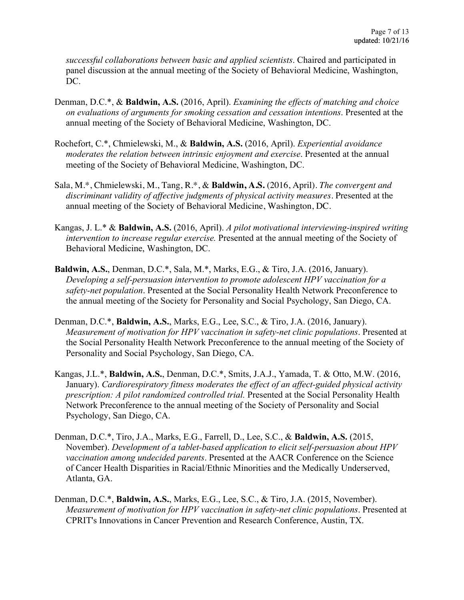*successful collaborations between basic and applied scientists*. Chaired and participated in panel discussion at the annual meeting of the Society of Behavioral Medicine, Washington, DC.

- Denman, D.C.\*, & **Baldwin, A.S.** (2016, April). *Examining the effects of matching and choice on evaluations of arguments for smoking cessation and cessation intentions*. Presented at the annual meeting of the Society of Behavioral Medicine, Washington, DC.
- Rochefort, C.\*, Chmielewski, M., & **Baldwin, A.S.** (2016, April). *Experiential avoidance moderates the relation between intrinsic enjoyment and exercise*. Presented at the annual meeting of the Society of Behavioral Medicine, Washington, DC.
- Sala, M.\*, Chmielewski, M., Tang, R.\*, & **Baldwin, A.S.** (2016, April). *The convergent and discriminant validity of affective judgments of physical activity measures.* Presented at the annual meeting of the Society of Behavioral Medicine, Washington, DC.
- Kangas, J. L.\* & **Baldwin, A.S.** (2016, April). *A pilot motivational interviewing-inspired writing intervention to increase regular exercise.* Presented at the annual meeting of the Society of Behavioral Medicine, Washington, DC.
- **Baldwin, A.S.**, Denman, D.C.\*, Sala, M.\*, Marks, E.G., & Tiro, J.A. (2016, January). *Developing a self-persuasion intervention to promote adolescent HPV vaccination for a safety-net population*. Presented at the Social Personality Health Network Preconference to the annual meeting of the Society for Personality and Social Psychology, San Diego, CA.
- Denman, D.C.\*, **Baldwin, A.S.**, Marks, E.G., Lee, S.C., & Tiro, J.A. (2016, January). *Measurement of motivation for HPV vaccination in safety-net clinic populations*. Presented at the Social Personality Health Network Preconference to the annual meeting of the Society of Personality and Social Psychology, San Diego, CA.
- Kangas, J.L.\*, **Baldwin, A.S.**, Denman, D.C.\*, Smits, J.A.J., Yamada, T. & Otto, M.W. (2016, January). *Cardiorespiratory fitness moderates the effect of an affect-guided physical activity prescription: A pilot randomized controlled trial.* Presented at the Social Personality Health Network Preconference to the annual meeting of the Society of Personality and Social Psychology, San Diego, CA.
- Denman, D.C.\*, Tiro, J.A., Marks, E.G., Farrell, D., Lee, S.C., & **Baldwin, A.S.** (2015, November). *Development of a tablet-based application to elicit self-persuasion about HPV vaccination among undecided parents*. Presented at the AACR Conference on the Science of Cancer Health Disparities in Racial/Ethnic Minorities and the Medically Underserved, Atlanta, GA.
- Denman, D.C.\*, **Baldwin, A.S.**, Marks, E.G., Lee, S.C., & Tiro, J.A. (2015, November). *Measurement of motivation for HPV vaccination in safety-net clinic populations*. Presented at CPRIT's Innovations in Cancer Prevention and Research Conference, Austin, TX.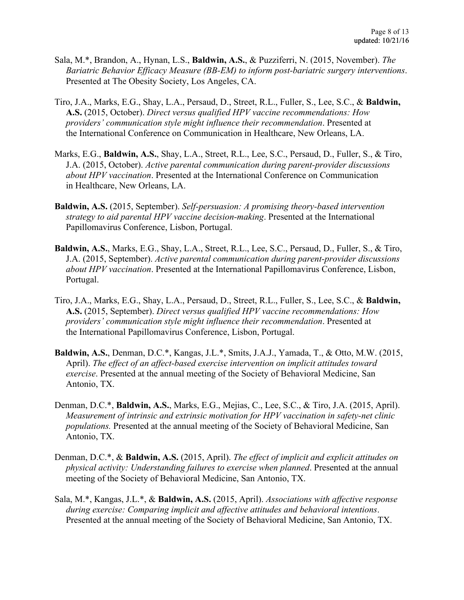- Sala, M.\*, Brandon, A., Hynan, L.S., **Baldwin, A.S.**, & Puzziferri, N. (2015, November). *The Bariatric Behavior Efficacy Measure (BB-EM) to inform post-bariatric surgery interventions*. Presented at The Obesity Society, Los Angeles, CA.
- Tiro, J.A., Marks, E.G., Shay, L.A., Persaud, D., Street, R.L., Fuller, S., Lee, S.C., & **Baldwin, A.S.** (2015, October). *Direct versus qualified HPV vaccine recommendations: How providers' communication style might influence their recommendation*. Presented at the International Conference on Communication in Healthcare, New Orleans, LA.
- Marks, E.G., **Baldwin, A.S.**, Shay, L.A., Street, R.L., Lee, S.C., Persaud, D., Fuller, S., & Tiro, J.A. (2015, October). *Active parental communication during parent-provider discussions about HPV vaccination*. Presented at the International Conference on Communication in Healthcare, New Orleans, LA.
- **Baldwin, A.S.** (2015, September). *Self-persuasion: A promising theory-based intervention strategy to aid parental HPV vaccine decision-making*. Presented at the International Papillomavirus Conference, Lisbon, Portugal.
- **Baldwin, A.S.**, Marks, E.G., Shay, L.A., Street, R.L., Lee, S.C., Persaud, D., Fuller, S., & Tiro, J.A. (2015, September). *Active parental communication during parent-provider discussions about HPV vaccination*. Presented at the International Papillomavirus Conference, Lisbon, Portugal.
- Tiro, J.A., Marks, E.G., Shay, L.A., Persaud, D., Street, R.L., Fuller, S., Lee, S.C., & **Baldwin, A.S.** (2015, September). *Direct versus qualified HPV vaccine recommendations: How providers' communication style might influence their recommendation*. Presented at the International Papillomavirus Conference, Lisbon, Portugal.
- **Baldwin, A.S.**, Denman, D.C.\*, Kangas, J.L.\*, Smits, J.A.J., Yamada, T., & Otto, M.W. (2015, April). *The effect of an affect-based exercise intervention on implicit attitudes toward exercise*. Presented at the annual meeting of the Society of Behavioral Medicine, San Antonio, TX.
- Denman, D.C.\*, **Baldwin, A.S.**, Marks, E.G., Mejias, C., Lee, S.C., & Tiro, J.A. (2015, April). *Measurement of intrinsic and extrinsic motivation for HPV vaccination in safety-net clinic populations.* Presented at the annual meeting of the Society of Behavioral Medicine, San Antonio, TX.
- Denman, D.C.\*, & **Baldwin, A.S.** (2015, April). *The effect of implicit and explicit attitudes on physical activity: Understanding failures to exercise when planned*. Presented at the annual meeting of the Society of Behavioral Medicine, San Antonio, TX.
- Sala, M.\*, Kangas, J.L.\*, & **Baldwin, A.S.** (2015, April). *Associations with affective response during exercise: Comparing implicit and affective attitudes and behavioral intentions*. Presented at the annual meeting of the Society of Behavioral Medicine, San Antonio, TX.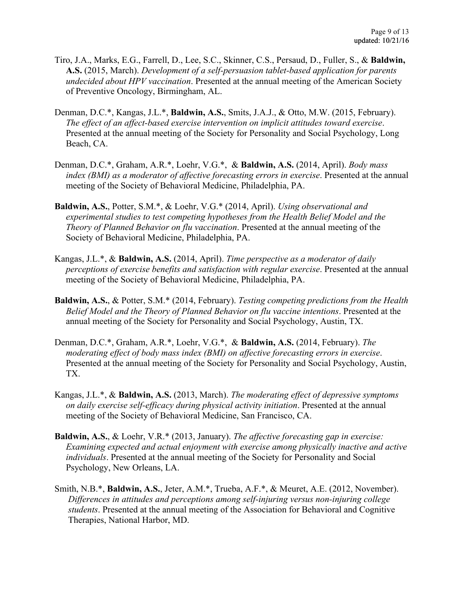- Tiro, J.A., Marks, E.G., Farrell, D., Lee, S.C., Skinner, C.S., Persaud, D., Fuller, S., & **Baldwin, A.S.** (2015, March). *Development of a self-persuasion tablet-based application for parents undecided about HPV vaccination*. Presented at the annual meeting of the American Society of Preventive Oncology, Birmingham, AL.
- Denman, D.C.\*, Kangas, J.L.\*, **Baldwin, A.S.**, Smits, J.A.J., & Otto, M.W. (2015, February). *The effect of an affect-based exercise intervention on implicit attitudes toward exercise*. Presented at the annual meeting of the Society for Personality and Social Psychology, Long Beach, CA.
- Denman, D.C.\*, Graham, A.R.\*, Loehr, V.G.\*, & **Baldwin, A.S.** (2014, April). *Body mass index (BMI) as a moderator of affective forecasting errors in exercise*. Presented at the annual meeting of the Society of Behavioral Medicine, Philadelphia, PA.
- **Baldwin, A.S.**, Potter, S.M.\*, & Loehr, V.G.\* (2014, April). *Using observational and experimental studies to test competing hypotheses from the Health Belief Model and the Theory of Planned Behavior on flu vaccination*. Presented at the annual meeting of the Society of Behavioral Medicine, Philadelphia, PA.
- Kangas, J.L.\*, & **Baldwin, A.S.** (2014, April). *Time perspective as a moderator of daily perceptions of exercise benefits and satisfaction with regular exercise*. Presented at the annual meeting of the Society of Behavioral Medicine, Philadelphia, PA.
- **Baldwin, A.S.**, & Potter, S.M.\* (2014, February). *Testing competing predictions from the Health Belief Model and the Theory of Planned Behavior on flu vaccine intentions*. Presented at the annual meeting of the Society for Personality and Social Psychology, Austin, TX.
- Denman, D.C.\*, Graham, A.R.\*, Loehr, V.G.\*, & **Baldwin, A.S.** (2014, February). *The moderating effect of body mass index (BMI) on affective forecasting errors in exercise*. Presented at the annual meeting of the Society for Personality and Social Psychology, Austin, TX.
- Kangas, J.L.\*, & **Baldwin, A.S.** (2013, March). *The moderating effect of depressive symptoms on daily exercise self-efficacy during physical activity initiation*. Presented at the annual meeting of the Society of Behavioral Medicine, San Francisco, CA.
- **Baldwin, A.S.**, & Loehr, V.R.\* (2013, January). *The affective forecasting gap in exercise: Examining expected and actual enjoyment with exercise among physically inactive and active individuals*. Presented at the annual meeting of the Society for Personality and Social Psychology, New Orleans, LA.
- Smith, N.B.\*, **Baldwin, A.S.**, Jeter, A.M.\*, Trueba, A.F.\*, & Meuret, A.E. (2012, November). *Differences in attitudes and perceptions among self-injuring versus non-injuring college students*. Presented at the annual meeting of the Association for Behavioral and Cognitive Therapies, National Harbor, MD.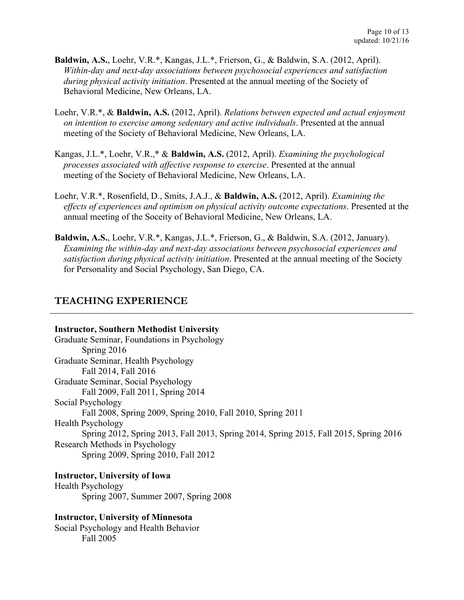- **Baldwin, A.S.**, Loehr, V.R.\*, Kangas, J.L.\*, Frierson, G., & Baldwin, S.A. (2012, April). *Within-day and next-day associations between psychosocial experiences and satisfaction during physical activity initiation*. Presented at the annual meeting of the Society of Behavioral Medicine, New Orleans, LA.
- Loehr, V.R.\*, & **Baldwin, A.S.** (2012, April). *Relations between expected and actual enjoyment on intention to exercise among sedentary and active individuals*. Presented at the annual meeting of the Society of Behavioral Medicine, New Orleans, LA.
- Kangas, J.L.\*, Loehr, V.R.,\* & **Baldwin, A.S.** (2012, April). *Examining the psychological processes associated with affective response to exercise*. Presented at the annual meeting of the Society of Behavioral Medicine, New Orleans, LA.
- Loehr, V.R.\*, Rosenfield, D., Smits, J.A.J., & **Baldwin, A.S.** (2012, April). *Examining the effects of experiences and optimism on physical activity outcome expectations*. Presented at the annual meeting of the Soceity of Behavioral Medicine, New Orleans, LA.
- **Baldwin, A.S.**, Loehr, V.R.\*, Kangas, J.L.\*, Frierson, G., & Baldwin, S.A. (2012, January). *Examining the within-day and next-day associations between psychosocial experiences and satisfaction during physical activity initiation*. Presented at the annual meeting of the Society for Personality and Social Psychology, San Diego, CA.

## **TEACHING EXPERIENCE**

#### **Instructor, Southern Methodist University**

Graduate Seminar, Foundations in Psychology Spring 2016 Graduate Seminar, Health Psychology Fall 2014, Fall 2016 Graduate Seminar, Social Psychology Fall 2009, Fall 2011, Spring 2014 Social Psychology Fall 2008, Spring 2009, Spring 2010, Fall 2010, Spring 2011 Health Psychology Spring 2012, Spring 2013, Fall 2013, Spring 2014, Spring 2015, Fall 2015, Spring 2016 Research Methods in Psychology Spring 2009, Spring 2010, Fall 2012

## **Instructor, University of Iowa**

Health Psychology Spring 2007, Summer 2007, Spring 2008

#### **Instructor, University of Minnesota**

Social Psychology and Health Behavior Fall 2005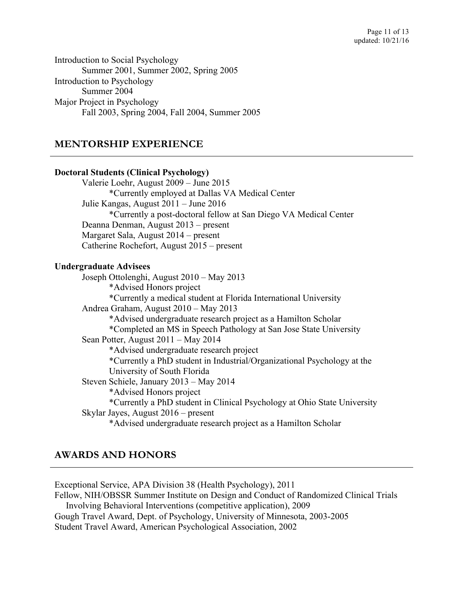Introduction to Social Psychology Summer 2001, Summer 2002, Spring 2005 Introduction to Psychology Summer 2004 Major Project in Psychology Fall 2003, Spring 2004, Fall 2004, Summer 2005

## **MENTORSHIP EXPERIENCE**

## **Doctoral Students (Clinical Psychology)** Valerie Loehr, August 2009 – June 2015 \*Currently employed at Dallas VA Medical Center Julie Kangas, August 2011 – June 2016 \*Currently a post-doctoral fellow at San Diego VA Medical Center Deanna Denman, August 2013 – present Margaret Sala, August 2014 – present Catherine Rochefort, August 2015 – present **Undergraduate Advisees** Joseph Ottolenghi, August 2010 – May 2013 \*Advised Honors project \*Currently a medical student at Florida International University Andrea Graham, August 2010 – May 2013 \*Advised undergraduate research project as a Hamilton Scholar \*Completed an MS in Speech Pathology at San Jose State University Sean Potter, August 2011 – May 2014 \*Advised undergraduate research project \*Currently a PhD student in Industrial/Organizational Psychology at the University of South Florida Steven Schiele, January 2013 – May 2014 \*Advised Honors project \*Currently a PhD student in Clinical Psychology at Ohio State University Skylar Jayes, August 2016 – present \*Advised undergraduate research project as a Hamilton Scholar

# **AWARDS AND HONORS**

Exceptional Service, APA Division 38 (Health Psychology), 2011 Fellow, NIH/OBSSR Summer Institute on Design and Conduct of Randomized Clinical Trials Involving Behavioral Interventions (competitive application), 2009 Gough Travel Award, Dept. of Psychology, University of Minnesota, 2003-2005 Student Travel Award, American Psychological Association, 2002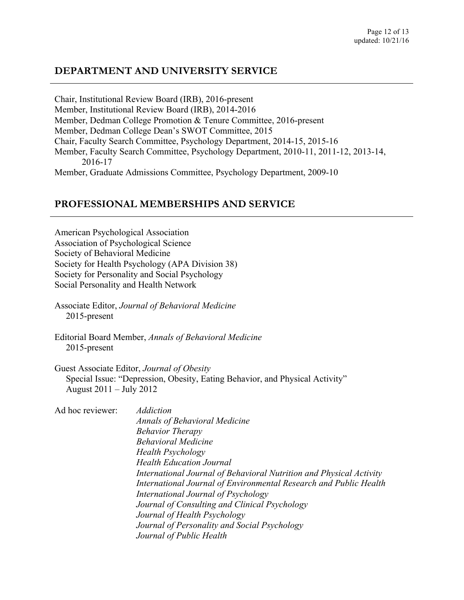# **DEPARTMENT AND UNIVERSITY SERVICE**

Chair, Institutional Review Board (IRB), 2016-present Member, Institutional Review Board (IRB), 2014-2016 Member, Dedman College Promotion & Tenure Committee, 2016-present Member, Dedman College Dean's SWOT Committee, 2015 Chair, Faculty Search Committee, Psychology Department, 2014-15, 2015-16 Member, Faculty Search Committee, Psychology Department, 2010-11, 2011-12, 2013-14, 2016-17 Member, Graduate Admissions Committee, Psychology Department, 2009-10

#### **PROFESSIONAL MEMBERSHIPS AND SERVICE**

American Psychological Association Association of Psychological Science Society of Behavioral Medicine Society for Health Psychology (APA Division 38) Society for Personality and Social Psychology Social Personality and Health Network

Associate Editor, *Journal of Behavioral Medicine* 2015-present

Editorial Board Member, *Annals of Behavioral Medicine* 2015-present

Guest Associate Editor, *Journal of Obesity* Special Issue: "Depression, Obesity, Eating Behavior, and Physical Activity" August 2011 – July 2012

| Ad hoc reviewer: | <b>Addiction</b>                                                    |
|------------------|---------------------------------------------------------------------|
|                  | <b>Annals of Behavioral Medicine</b>                                |
|                  | <b>Behavior Therapy</b>                                             |
|                  | <b>Behavioral Medicine</b>                                          |
|                  | <b>Health Psychology</b>                                            |
|                  | <b>Health Education Journal</b>                                     |
|                  | International Journal of Behavioral Nutrition and Physical Activity |
|                  | International Journal of Environmental Research and Public Health   |
|                  | International Journal of Psychology                                 |
|                  | Journal of Consulting and Clinical Psychology                       |
|                  | Journal of Health Psychology                                        |
|                  | Journal of Personality and Social Psychology                        |
|                  | Journal of Public Health                                            |